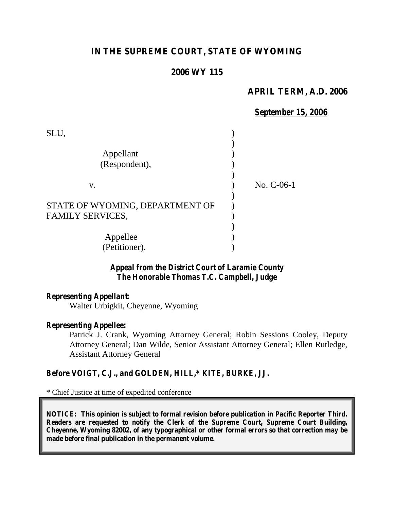# **IN THE SUPREME COURT, STATE OF WYOMING**

## **2006 WY 115**

#### **APRIL TERM, A.D. 2006**

|                                 | <b>September 15, 2006</b> |
|---------------------------------|---------------------------|
| SLU,                            |                           |
|                                 |                           |
| Appellant                       |                           |
| (Respondent),                   |                           |
|                                 |                           |
| V.                              | No. C-06-1                |
|                                 |                           |
| STATE OF WYOMING, DEPARTMENT OF |                           |
| <b>FAMILY SERVICES,</b>         |                           |
|                                 |                           |
| Appellee                        |                           |
| (Petitioner).                   |                           |

## *Appeal from the District Court of Laramie County The Honorable Thomas T.C. Campbell, Judge*

*Representing Appellant:*

Walter Urbigkit, Cheyenne, Wyoming

### *Representing Appellee:*

Patrick J. Crank, Wyoming Attorney General; Robin Sessions Cooley, Deputy Attorney General; Dan Wilde, Senior Assistant Attorney General; Ellen Rutledge, Assistant Attorney General

#### *Before VOIGT, C.J., and GOLDEN, HILL,\* KITE, BURKE, JJ.*

\* Chief Justice at time of expedited conference

**NOTICE: This opinion is subject to formal revision before publication in Pacific Reporter Third. Readers are requested to notify the Clerk of the Supreme Court, Supreme Court Building, Cheyenne, Wyoming 82002, of any typographical or other formal errors so that correction may be made before final publication in the permanent volume.**